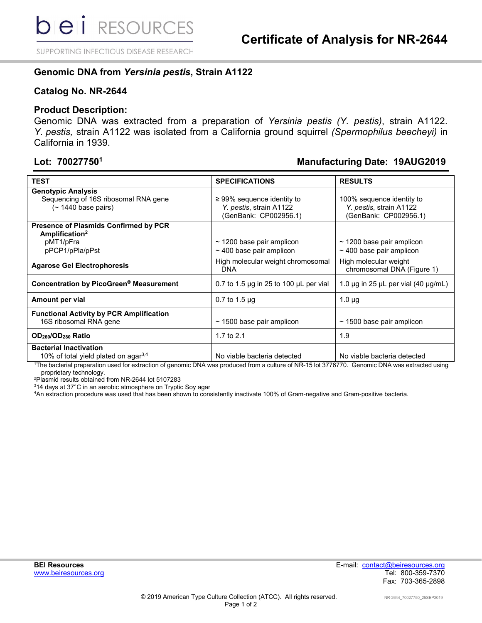SUPPORTING INFECTIOUS DISEASE RESEARCH

### **Genomic DNA from** *Yersinia pestis***, Strain A1122**

#### **Catalog No. NR-2644**

#### **Product Description:**

Genomic DNA was extracted from a preparation of *Yersinia pestis (Y. pestis)*, strain A1122. *Y. pestis,* strain A1122 was isolated from a California ground squirrel *(Spermophilus beecheyi)* in California in 1939.

## **Lot: 700277501 Manufacturing Date: 19AUG2019**

| <b>TEST</b>                                                                                                | <b>SPECIFICATIONS</b>                                                               | <b>RESULTS</b>                                                                |
|------------------------------------------------------------------------------------------------------------|-------------------------------------------------------------------------------------|-------------------------------------------------------------------------------|
| <b>Genotypic Analysis</b><br>Sequencing of 16S ribosomal RNA gene<br>$($ ~ 1440 base pairs)                | $\geq$ 99% sequence identity to<br>Y. pestis, strain A1122<br>(GenBank: CP002956.1) | 100% sequence identity to<br>Y. pestis, strain A1122<br>(GenBank: CP002956.1) |
| <b>Presence of Plasmids Confirmed by PCR</b><br>Amplification <sup>2</sup><br>pMT1/pFra<br>pPCP1/pPla/pPst | $\sim$ 1200 base pair amplicon<br>$\sim$ 400 base pair amplicon                     | $\sim$ 1200 base pair amplicon<br>$\sim$ 400 base pair amplicon               |
| <b>Agarose Gel Electrophoresis</b>                                                                         | High molecular weight chromosomal<br><b>DNA</b>                                     | High molecular weight<br>chromosomal DNA (Figure 1)                           |
| Concentration by PicoGreen® Measurement                                                                    | 0.7 to 1.5 $\mu$ g in 25 to 100 $\mu$ L per vial                                    | 1.0 $\mu$ g in 25 $\mu$ L per vial (40 $\mu$ g/mL)                            |
| Amount per vial                                                                                            | $0.7$ to 1.5 $\mu$ g                                                                | $1.0 \mu$ g                                                                   |
| <b>Functional Activity by PCR Amplification</b><br>16S ribosomal RNA gene                                  | $\sim$ 1500 base pair amplicon                                                      | $\sim$ 1500 base pair amplicon                                                |
| OD <sub>260</sub> /OD <sub>280</sub> Ratio                                                                 | 1.7 to $2.1$                                                                        | 1.9                                                                           |
| <b>Bacterial Inactivation</b><br>10% of total yield plated on agar <sup>3,4</sup>                          | No viable bacteria detected                                                         | No viable bacteria detected                                                   |

1 The bacterial preparation used for extraction of genomic DNA was produced from a culture of NR-15 lot 3776770. Genomic DNA was extracted using proprietary technology.

2 Plasmid results obtained from NR-2644 lot 5107283

 $^{\rm 3}$ 14 days at 37°C in an aerobic atmosphere on Tryptic Soy agar

4 An extraction procedure was used that has been shown to consistently inactivate 100% of Gram-negative and Gram-positive bacteria.